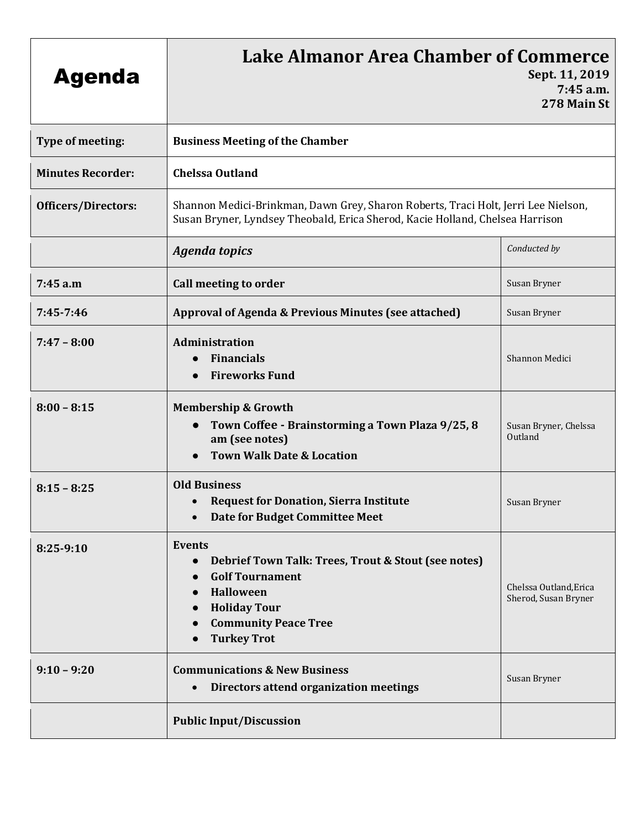| <b>Agenda</b>              | <b>Lake Almanor Area Chamber of Commerce</b><br>Sept. 11, 2019<br>7:45 a.m.<br>278 Main St                                                                                                                                     |                                                |
|----------------------------|--------------------------------------------------------------------------------------------------------------------------------------------------------------------------------------------------------------------------------|------------------------------------------------|
| Type of meeting:           | <b>Business Meeting of the Chamber</b>                                                                                                                                                                                         |                                                |
| <b>Minutes Recorder:</b>   | <b>Chelssa Outland</b>                                                                                                                                                                                                         |                                                |
| <b>Officers/Directors:</b> | Shannon Medici-Brinkman, Dawn Grey, Sharon Roberts, Traci Holt, Jerri Lee Nielson,<br>Susan Bryner, Lyndsey Theobald, Erica Sherod, Kacie Holland, Chelsea Harrison                                                            |                                                |
|                            | <b>Agenda topics</b>                                                                                                                                                                                                           | Conducted by                                   |
| 7:45 a.m                   | Call meeting to order                                                                                                                                                                                                          | Susan Bryner                                   |
| 7:45-7:46                  | Approval of Agenda & Previous Minutes (see attached)                                                                                                                                                                           | Susan Bryner                                   |
| $7:47 - 8:00$              | Administration<br><b>Financials</b><br>$\bullet$<br><b>Fireworks Fund</b>                                                                                                                                                      | Shannon Medici                                 |
| $8:00 - 8:15$              | <b>Membership &amp; Growth</b><br>Town Coffee - Brainstorming a Town Plaza 9/25, 8<br>am (see notes)<br><b>Town Walk Date &amp; Location</b>                                                                                   | Susan Bryner, Chelssa<br>Outland               |
| $8:15 - 8:25$              | <b>Old Business</b><br><b>Request for Donation, Sierra Institute</b><br>Date for Budget Committee Meet                                                                                                                         | Susan Bryner                                   |
| $8:25-9:10$                | Events<br>Debrief Town Talk: Trees, Trout & Stout (see notes)<br>$\bullet$<br><b>Golf Tournament</b><br><b>Halloween</b><br>$\bullet$<br><b>Holiday Tour</b><br><b>Community Peace Tree</b><br>$\bullet$<br><b>Turkey Trot</b> | Chelssa Outland, Erica<br>Sherod, Susan Bryner |
| $9:10 - 9:20$              | <b>Communications &amp; New Business</b><br>Directors attend organization meetings                                                                                                                                             | Susan Bryner                                   |
|                            | <b>Public Input/Discussion</b>                                                                                                                                                                                                 |                                                |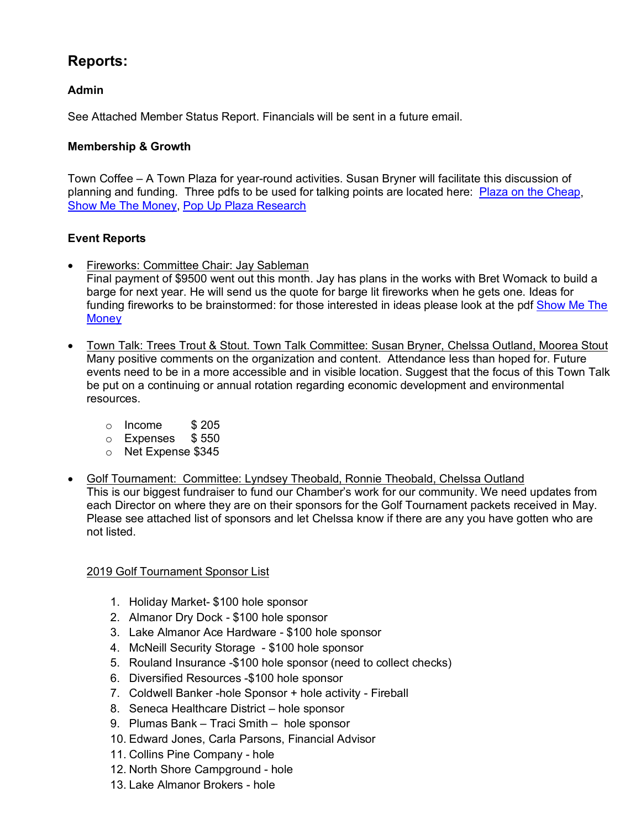# **Reports:**

## **Admin**

See Attached Member Status Report. Financials will be sent in a future email.

## **Membership & Growth**

Town Coffee – A Town Plaza for year-round activities. Susan Bryner will facilitate this discussion of planning and funding. Three pdfs to be used for talking points are located here: [Plaza on the Cheap,](http://www.chamberorganizer.com/chester-lakealmanor/docs/Plaza_On_The_Cheap.pdf) [Show Me The Money,](http://www.chamberorganizer.com/chester-lakealmanor/docs/ShowMeTheMoney.pdf) [Pop Up Plaza Research](http://www.chamberorganizer.com/chester-lakealmanor/docs/PopUpPlaza_Research.pdf)

## **Event Reports**

• Fireworks: Committee Chair: Jay Sableman

Final payment of \$9500 went out this month. Jay has plans in the works with Bret Womack to build a barge for next year. He will send us the quote for barge lit fireworks when he gets one. Ideas for funding fireworks to be brainstormed: for those interested in ideas please look at the pdf Show Me The **[Money](http://www.chamberorganizer.com/chester-lakealmanor/docs/ShowMeTheMoney.pdf)** 

- Town Talk: Trees Trout & Stout. Town Talk Committee: Susan Bryner, Chelssa Outland, Moorea Stout Many positive comments on the organization and content. Attendance less than hoped for. Future events need to be in a more accessible and in visible location. Suggest that the focus of this Town Talk be put on a continuing or annual rotation regarding economic development and environmental resources.
	- $\circ$  Income \$205
	- o Expenses \$ 550
	- o Net Expense \$345
- Golf Tournament: Committee: Lyndsey Theobald, Ronnie Theobald, Chelssa Outland This is our biggest fundraiser to fund our Chamber's work for our community. We need updates from each Director on where they are on their sponsors for the Golf Tournament packets received in May. Please see attached list of sponsors and let Chelssa know if there are any you have gotten who are not listed.

#### 2019 Golf Tournament Sponsor List

- 1. Holiday Market- \$100 hole sponsor
- 2. Almanor Dry Dock \$100 hole sponsor
- 3. Lake Almanor Ace Hardware \$100 hole sponsor
- 4. McNeill Security Storage \$100 hole sponsor
- 5. Rouland Insurance -\$100 hole sponsor (need to collect checks)
- 6. Diversified Resources -\$100 hole sponsor
- 7. Coldwell Banker -hole Sponsor + hole activity Fireball
- 8. Seneca Healthcare District hole sponsor
- 9. Plumas Bank Traci Smith hole sponsor
- 10. Edward Jones, Carla Parsons, Financial Advisor
- 11. Collins Pine Company hole
- 12. North Shore Campground hole
- 13. Lake Almanor Brokers hole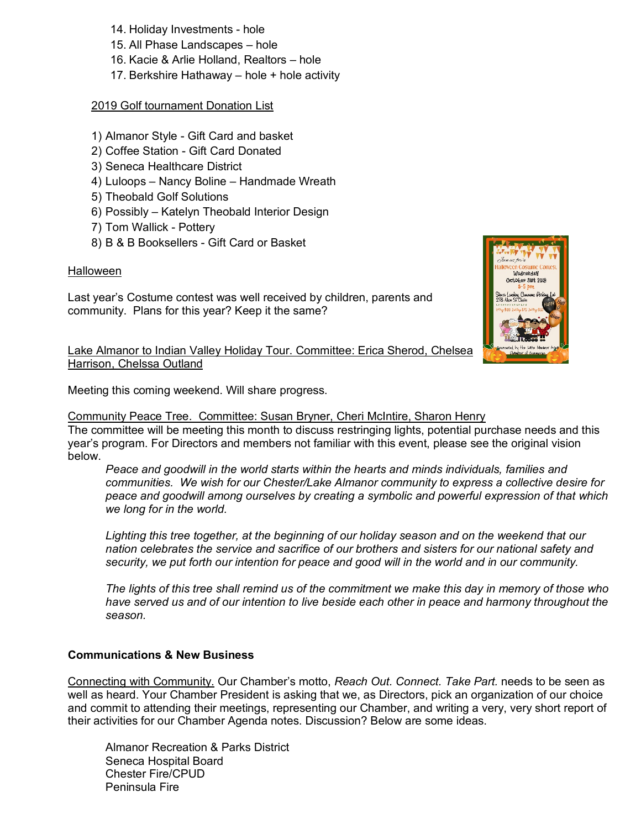- 14. Holiday Investments hole
- 15. All Phase Landscapes hole
- 16. Kacie & Arlie Holland, Realtors hole
- 17. Berkshire Hathaway hole + hole activity

### 2019 Golf tournament Donation List

- 1) Almanor Style Gift Card and basket
- 2) Coffee Station Gift Card Donated
- 3) Seneca Healthcare District
- 4) Luloops Nancy Boline Handmade Wreath
- 5) Theobald Golf Solutions
- 6) Possibly Katelyn Theobald Interior Design
- 7) Tom Wallick Pottery
- 8) B & B Booksellers Gift Card or Basket

## Halloween

Last year's Costume contest was well received by children, parents and community. Plans for this year? Keep it the same?



Lake Almanor to Indian Valley Holiday Tour. Committee: Erica Sherod, Chelsea Harrison, Chelssa Outland

Meeting this coming weekend. Will share progress.

Community Peace Tree. Committee: Susan Bryner, Cheri McIntire, Sharon Henry The committee will be meeting this month to discuss restringing lights, potential purchase needs and this year's program. For Directors and members not familiar with this event, please see the original vision below.

*Peace and goodwill in the world starts within the hearts and minds individuals, families and communities. We wish for our Chester/Lake Almanor community to express a collective desire for peace and goodwill among ourselves by creating a symbolic and powerful expression of that which we long for in the world.* 

*Lighting this tree together, at the beginning of our holiday season and on the weekend that our nation celebrates the service and sacrifice of our brothers and sisters for our national safety and security, we put forth our intention for peace and good will in the world and in our community.*

*The lights of this tree shall remind us of the commitment we make this day in memory of those who have served us and of our intention to live beside each other in peace and harmony throughout the season.*

## **Communications & New Business**

Connecting with Community. Our Chamber's motto, *Reach Out. Connect. Take Part.* needs to be seen as well as heard. Your Chamber President is asking that we, as Directors, pick an organization of our choice and commit to attending their meetings, representing our Chamber, and writing a very, very short report of their activities for our Chamber Agenda notes. Discussion? Below are some ideas.

Almanor Recreation & Parks District Seneca Hospital Board Chester Fire/CPUD Peninsula Fire